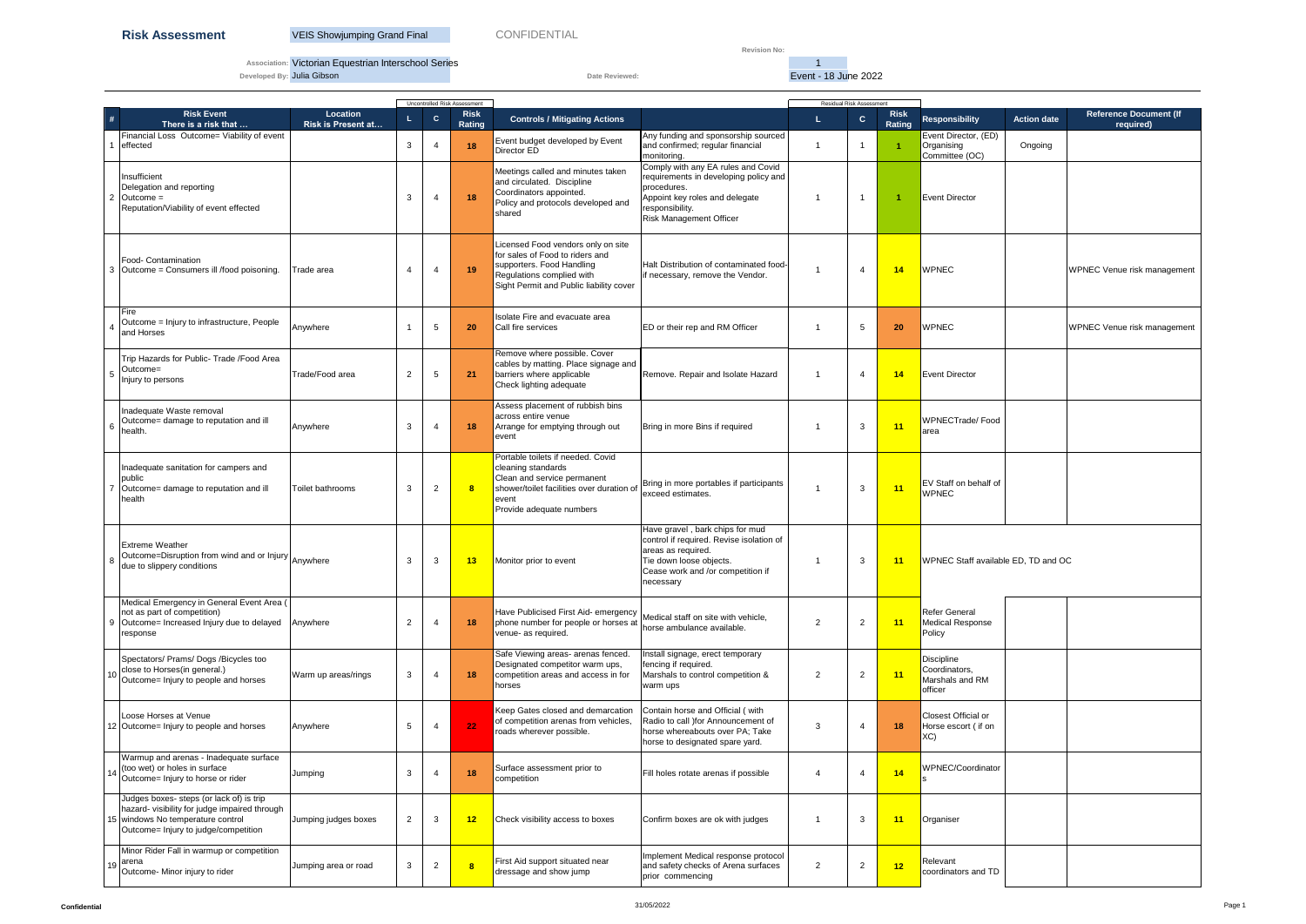**Revision No:** 

**Association:** Victorian Equestrian Interschool Series 1

**Developed By:** Julia Gibson **Date Reviewed:** Date Reviewed: **Event - 18 June 2022** 

| Uncontrolled Risk Assessment                                                                                                                                           |                                       |                 |                       |                       |                                                                                                                                                                            |                                                                                                                                                                                   |                       |                         | <b>Residual Risk Assessment</b> |                                                                  |                    |                                            |  |  |  |
|------------------------------------------------------------------------------------------------------------------------------------------------------------------------|---------------------------------------|-----------------|-----------------------|-----------------------|----------------------------------------------------------------------------------------------------------------------------------------------------------------------------|-----------------------------------------------------------------------------------------------------------------------------------------------------------------------------------|-----------------------|-------------------------|---------------------------------|------------------------------------------------------------------|--------------------|--------------------------------------------|--|--|--|
| <b>Risk Event</b><br>#<br>There is a risk that                                                                                                                         | Location<br><b>Risk is Present at</b> | L.              | $\mathbf{C}$          | <b>Risk</b><br>Rating | <b>Controls / Mitigating Actions</b>                                                                                                                                       |                                                                                                                                                                                   | L                     | $\mathbf{C}$            | <b>Risk</b><br>Rating           | <b>Responsibility</b>                                            | <b>Action date</b> | <b>Reference Document (If</b><br>required) |  |  |  |
| Financial Loss Outcome= Viability of event<br>effected                                                                                                                 |                                       | 3               |                       | 18                    | Event budget developed by Event<br>Director ED                                                                                                                             | Any funding and sponsorship sourced<br>and confirmed; regular financial<br>monitoring.                                                                                            | $\mathbf{1}$          | -1                      | $\blacktriangleleft$            | Event Director, (ED)<br>Organising<br>Committee (OC)             | Ongoing            |                                            |  |  |  |
| Insufficient<br>Delegation and reporting<br>$Outcome =$<br>Reputation/Viability of event effected                                                                      |                                       | 3               | $\boldsymbol{\Delta}$ | 18                    | Meetings called and minutes taken<br>and circulated. Discipline<br>Coordinators appointed.<br>Policy and protocols developed and<br>shared                                 | Comply with any EA rules and Covid<br>requirements in developing policy and<br>procedures.<br>Appoint key roles and delegate<br>responsibility.<br><b>Risk Management Officer</b> | $\overline{1}$        | $\overline{\mathbf{1}}$ | -1                              | <b>Event Director</b>                                            |                    |                                            |  |  |  |
| Food- Contamination<br>Outcome = Consumers ill /food poisoning.                                                                                                        | Trade area                            | 4               | 4                     | 19                    | Licensed Food vendors only on site<br>for sales of Food to riders and<br>supporters. Food Handling<br>Regulations complied with<br>Sight Permit and Public liability cover | Halt Distribution of contaminated food-<br>if necessary, remove the Vendor.                                                                                                       | -1                    | $\overline{4}$          | 14                              | <b>WPNEC</b>                                                     |                    | WPNEC Venue risk management                |  |  |  |
| Fire<br>Outcome = Injury to infrastructure, People<br>and Horses                                                                                                       | Anywhere                              |                 | -5                    | 20                    | Isolate Fire and evacuate area<br>Call fire services                                                                                                                       | ED or their rep and RM Officer                                                                                                                                                    | -1                    | 5                       | 20                              | <b>WPNEC</b>                                                     |                    | WPNEC Venue risk management                |  |  |  |
| Trip Hazards for Public- Trade /Food Area<br>Outcome=<br>Injury to persons                                                                                             | Trade/Food area                       | $\overline{2}$  | 5                     | 21                    | Remove where possible. Cover<br>cables by matting. Place signage and<br>barriers where applicable<br>Check lighting adequate                                               | Remove. Repair and Isolate Hazard                                                                                                                                                 | -1                    | $\overline{4}$          | 14                              | <b>Event Director</b>                                            |                    |                                            |  |  |  |
| Inadequate Waste removal<br>Outcome= damage to reputation and ill<br>health.                                                                                           | Anywhere                              | 3               | 4                     | 18                    | Assess placement of rubbish bins<br>across entire venue<br>Arrange for emptying through out<br>event                                                                       | Bring in more Bins if required                                                                                                                                                    | -1                    | 3                       | 11                              | WPNECTrade/Food<br>area                                          |                    |                                            |  |  |  |
| Inadequate sanitation for campers and<br>public<br>Outcome= damage to reputation and ill<br>health                                                                     | Toilet bathrooms                      | 3               | $\overline{2}$        | 8                     | Portable toilets if needed. Covid<br>cleaning standards<br>Clean and service permanent<br>shower/toilet facilities over duration of<br>event<br>Provide adequate numbers   | Bring in more portables if participants<br>exceed estimates.                                                                                                                      | -1                    | 3                       | 11                              | <b>EV</b> Staff on behalf of<br><b>WPNEC</b>                     |                    |                                            |  |  |  |
| <b>Extreme Weather</b><br>Outcome=Disruption from wind and or Injury Anywhere<br>due to slippery conditions                                                            |                                       | 3               | 3                     | 13                    | Monitor prior to event                                                                                                                                                     | Have gravel, bark chips for mud<br>control if required. Revise isolation of<br>areas as required.<br>Tie down loose objects.<br>Cease work and /or competition if<br>necessary    | -1                    | 3                       | 11                              | WPNEC Staff available ED. TD and OC                              |                    |                                            |  |  |  |
| Medical Emergency in General Event Area (<br>not as part of competition)<br>Outcome= Increased Injury due to delayed<br>-9<br>response                                 | Anywhere                              | $\overline{2}$  | $\overline{4}$        | 18                    | Have Publicised First Aid- emergency<br>phone number for people or horses at<br>venue- as required.                                                                        | Medical staff on site with vehicle,<br>horse ambulance available.                                                                                                                 | 2                     | $\overline{2}$          | 11                              | Refer General<br>Medical Response<br>Policy                      |                    |                                            |  |  |  |
| Spectators/ Prams/ Dogs /Bicycles too<br>close to Horses(in general.)<br>Outcome= Injury to people and horses                                                          | Warm up areas/rings                   | 3               | $\overline{4}$        | 18                    | Safe Viewing areas- arenas fenced.<br>Designated competitor warm ups,<br>competition areas and access in for<br>horses                                                     | Install signage, erect temporary<br>fencing if required.<br>Marshals to control competition &<br>warm ups                                                                         | 2                     | $\overline{2}$          | 11                              | <b>Discipline</b><br>Coordinators,<br>Marshals and RM<br>officer |                    |                                            |  |  |  |
| Loose Horses at Venue<br>12 Outcome= Injury to people and horses                                                                                                       | Anywhere                              | $5\phantom{.0}$ | $\overline{4}$        | 22                    | Keep Gates closed and demarcation<br>of competition arenas from vehicles,<br>roads wherever possible.                                                                      | Contain horse and Official (with<br>Radio to call ) for Announcement of<br>horse whereabouts over PA; Take<br>horse to designated spare yard.                                     | 3                     | $\overline{4}$          | 18                              | <b>Closest Official or</b><br>Horse escort (if on<br>XC)         |                    |                                            |  |  |  |
| Warmup and arenas - Inadequate surface<br>(too wet) or holes in surface<br>Outcome= Injury to horse or rider                                                           | Jumping                               | 3               |                       | 18                    | Surface assessment prior to<br>competition                                                                                                                                 | Fill holes rotate arenas if possible                                                                                                                                              | $\boldsymbol{\Delta}$ | $\overline{4}$          | 14                              | WPNEC/Coordinator                                                |                    |                                            |  |  |  |
| Judges boxes- steps (or lack of) is trip<br>hazard- visibility for judge impaired through<br>15 windows No temperature control<br>Outcome= Injury to judge/competition | Jumping judges boxes                  | $\overline{2}$  | 3                     | 12                    | Check visibility access to boxes                                                                                                                                           | Confirm boxes are ok with judges                                                                                                                                                  |                       | 3                       | 11                              | Organiser                                                        |                    |                                            |  |  |  |
| Minor Rider Fall in warmup or competition<br>arena<br>Outcome- Minor injury to rider                                                                                   | Jumping area or road                  | 3               | $\overline{2}$        | 8                     | First Aid support situated near<br>dressage and show jump                                                                                                                  | Implement Medical response protocol<br>and safety checks of Arena surfaces<br>prior commencing                                                                                    | 2                     | $\overline{2}$          | 12                              | Relevant<br>coordinators and TD                                  |                    |                                            |  |  |  |